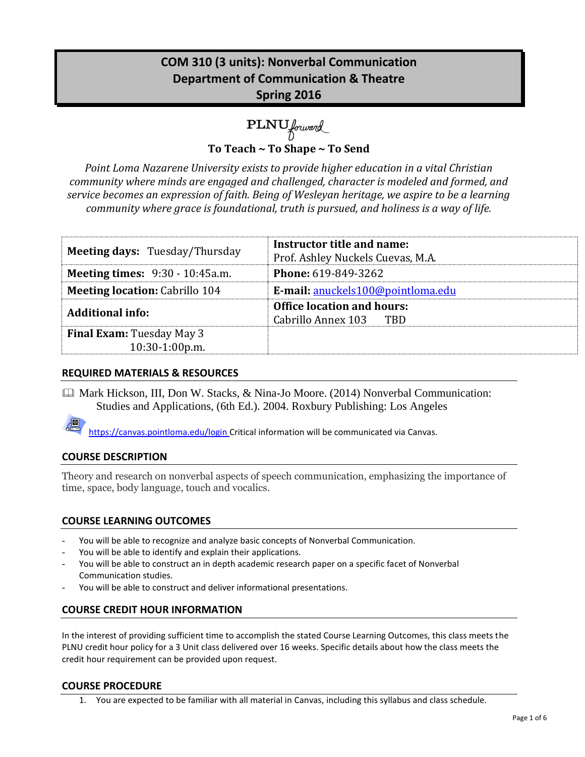# **COM 310 (3 units): Nonverbal Communication Department of Communication & Theatre Spring 2016**

PLNU forward

**To Teach ~ To Shape ~ To Send**

*Point Loma Nazarene University exists to provide higher education in a vital Christian community where minds are engaged and challenged, character is modeled and formed, and service becomes an expression of faith. Being of Wesleyan heritage, we aspire to be a learning community where grace is foundational, truth is pursued, and holiness is a way of life.*

| <b>Meeting days: Tuesday/Thursday</b>              | Instructor title and name:<br>Prof. Ashley Nuckels Cuevas, M.A. |  |
|----------------------------------------------------|-----------------------------------------------------------------|--|
| <b>Meeting times:</b> 9:30 - 10:45a.m.             | <b>Phone: 619-849-3262</b>                                      |  |
| <b>Meeting location: Cabrillo 104</b>              | E-mail: anuckels100@pointloma.edu                               |  |
| <b>Additional info:</b>                            | <b>Office location and hours:</b><br>Cabrillo Annex 103 TBD     |  |
| <b>Final Exam:</b> Tuesday May 3<br>10:30-1:00p.m. |                                                                 |  |

# **REQUIRED MATERIALS & RESOURCES**

 Mark Hickson, III, Don W. Stacks, & Nina-Jo Moore. (2014) Nonverbal Communication: Studies and Applications, (6th Ed.). 2004. Roxbury Publishing: Los Angeles

https://canvas.pointloma.edu/login Critical information will be communicated via Canvas.

### **COURSE DESCRIPTION**

Theory and research on nonverbal aspects of speech communication, emphasizing the importance of time, space, body language, touch and vocalics.

# **COURSE LEARNING OUTCOMES**

- You will be able to recognize and analyze basic concepts of Nonverbal Communication.
- You will be able to identify and explain their applications.
- You will be able to construct an in depth academic research paper on a specific facet of Nonverbal Communication studies.
- You will be able to construct and deliver informational presentations.

# **COURSE CREDIT HOUR INFORMATION**

In the interest of providing sufficient time to accomplish the stated Course Learning Outcomes, this class meets the PLNU credit hour policy for a 3 Unit class delivered over 16 weeks. Specific details about how the class meets the credit hour requirement can be provided upon request.

#### **COURSE PROCEDURE**

1. You are expected to be familiar with all material in Canvas, including this syllabus and class schedule.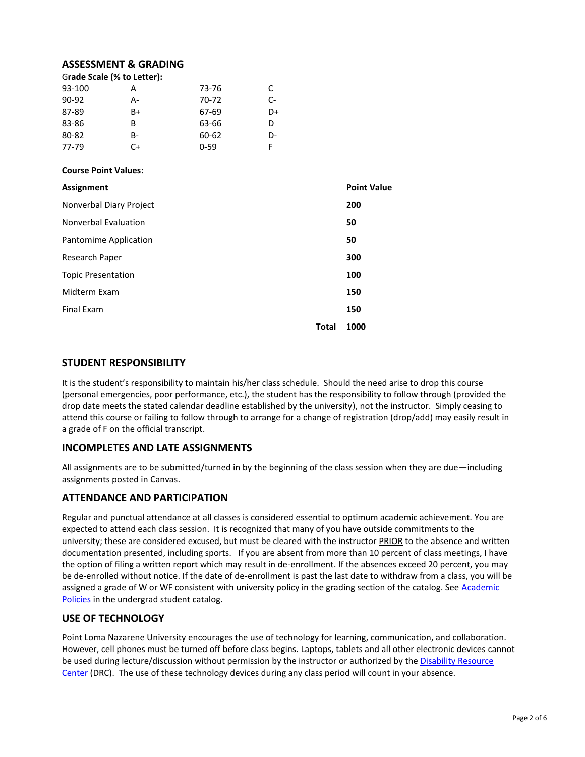#### **ASSESSMENT & GRADING**

|  | Grade Scale (% to Letter): |  |
|--|----------------------------|--|
|  |                            |  |

| 93-100  | А  | 73-76    | C  |
|---------|----|----------|----|
| $90-92$ | А- | 70-72    | C- |
| 87-89   | B+ | 67-69    | D+ |
| 83-86   | В  | 63-66    | D  |
| 80-82   | B- | 60-62    | D- |
| 77-79   | C+ | $0 - 59$ |    |

#### **Course Point Values:**

| <b>Assignment</b>         |       | <b>Point Value</b> |
|---------------------------|-------|--------------------|
| Nonverbal Diary Project   |       | 200                |
| Nonverbal Evaluation      |       | 50                 |
| Pantomime Application     |       | 50                 |
| Research Paper            |       | 300                |
| <b>Topic Presentation</b> |       | 100                |
| Midterm Exam              |       | 150                |
| <b>Final Exam</b>         |       | 150                |
|                           | Total | 1000               |

#### **STUDENT RESPONSIBILITY**

It is the student's responsibility to maintain his/her class schedule. Should the need arise to drop this course (personal emergencies, poor performance, etc.), the student has the responsibility to follow through (provided the drop date meets the stated calendar deadline established by the university), not the instructor. Simply ceasing to attend this course or failing to follow through to arrange for a change of registration (drop/add) may easily result in a grade of F on the official transcript.

#### **INCOMPLETES AND LATE ASSIGNMENTS**

All assignments are to be submitted/turned in by the beginning of the class session when they are due—including assignments posted in Canvas.

#### **ATTENDANCE AND PARTICIPATION**

Regular and punctual attendance at all classes is considered essential to optimum academic achievement. You are expected to attend each class session. It is recognized that many of you have outside commitments to the university; these are considered excused, but must be cleared with the instructor PRIOR to the absence and written documentation presented, including sports. If you are absent from more than 10 percent of class meetings, I have the option of filing a written report which may result in de-enrollment. If the absences exceed 20 percent, you may be de-enrolled without notice. If the date of de-enrollment is past the last date to withdraw from a class, you will be assigned a grade of W or WF consistent with university policy in the grading section of the catalog. See Academic [Policies](http://www.pointloma.edu/experience/academics/catalogs/undergraduate-catalog/point-loma-education/academic-policies) in the undergrad student catalog.

#### **USE OF TECHNOLOGY**

Point Loma Nazarene University encourages the use of technology for learning, communication, and collaboration. However, cell phones must be turned off before class begins. Laptops, tablets and all other electronic devices cannot be used during lecture/discussion without permission by the instructor or authorized by the [Disability Resource](http://www.pointloma.edu/experience/offices/administrative-offices/academic-advising-office/disability-resource-center)  [Center](http://www.pointloma.edu/experience/offices/administrative-offices/academic-advising-office/disability-resource-center) (DRC). The use of these technology devices during any class period will count in your absence.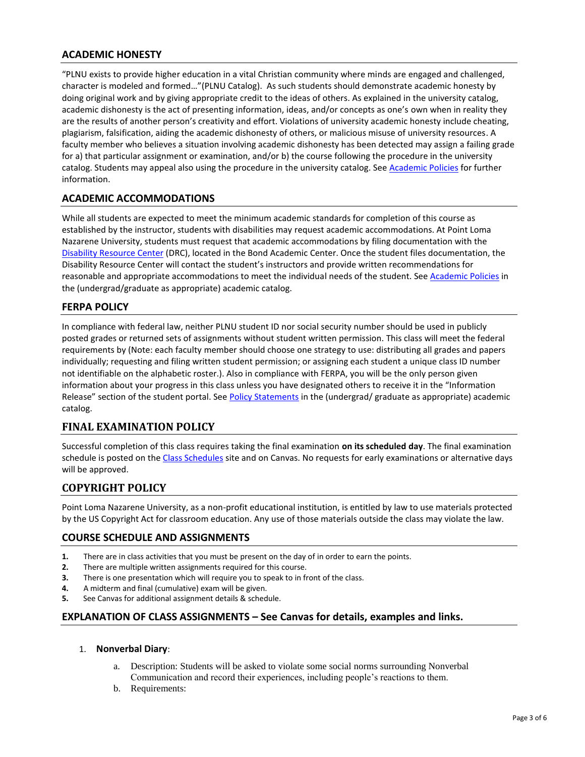## **ACADEMIC HONESTY**

"PLNU exists to provide higher education in a vital Christian community where minds are engaged and challenged, character is modeled and formed…"(PLNU Catalog). As such students should demonstrate academic honesty by doing original work and by giving appropriate credit to the ideas of others. As explained in the university catalog, academic dishonesty is the act of presenting information, ideas, and/or concepts as one's own when in reality they are the results of another person's creativity and effort. Violations of university academic honesty include cheating, plagiarism, falsification, aiding the academic dishonesty of others, or malicious misuse of university resources. A faculty member who believes a situation involving academic dishonesty has been detected may assign a failing grade for a) that particular assignment or examination, and/or b) the course following the procedure in the university catalog. Students may appeal also using the procedure in the university catalog. Se[e Academic Policies](http://www.pointloma.edu/experience/academics/catalogs/undergraduate-catalog/point-loma-education/academic-policies) for further information.

### **ACADEMIC ACCOMMODATIONS**

While all students are expected to meet the minimum academic standards for completion of this course as established by the instructor, students with disabilities may request academic accommodations. At Point Loma Nazarene University, students must request that academic accommodations by filing documentation with the [Disability Resource Center](http://www.pointloma.edu/experience/offices/administrative-offices/academic-advising-office/disability-resource-center) (DRC), located in the Bond Academic Center. Once the student files documentation, the Disability Resource Center will contact the student's instructors and provide written recommendations for reasonable and appropriate accommodations to meet the individual needs of the student. See [Academic Policies](http://www.pointloma.edu/experience/academics/catalogs/undergraduate-catalog/point-loma-education/academic-policies) in the (undergrad/graduate as appropriate) academic catalog.

### **FERPA POLICY**

In compliance with federal law, neither PLNU student ID nor social security number should be used in publicly posted grades or returned sets of assignments without student written permission. This class will meet the federal requirements by (Note: each faculty member should choose one strategy to use: distributing all grades and papers individually; requesting and filing written student permission; or assigning each student a unique class ID number not identifiable on the alphabetic roster.). Also in compliance with FERPA, you will be the only person given information about your progress in this class unless you have designated others to receive it in the "Information Release" section of the student portal. See [Policy Statements](http://www.pointloma.edu/experience/academics/catalogs/undergraduate-catalog/policy-statements) in the (undergrad/ graduate as appropriate) academic catalog.

### **FINAL EXAMINATION POLICY**

Successful completion of this class requires taking the final examination **on its scheduled day**. The final examination schedule is posted on th[e Class Schedules](http://www.pointloma.edu/experience/academics/class-schedules) site and on Canvas. No requests for early examinations or alternative days will be approved.

### **COPYRIGHT POLICY**

Point Loma Nazarene University, as a non-profit educational institution, is entitled by law to use materials protected by the US Copyright Act for classroom education. Any use of those materials outside the class may violate the law.

#### **COURSE SCHEDULE AND ASSIGNMENTS**

- **1.** There are in class activities that you must be present on the day of in order to earn the points.
- **2.** There are multiple written assignments required for this course.
- **3.** There is one presentation which will require you to speak to in front of the class.
- **4.** A midterm and final (cumulative) exam will be given.
- **5.** See Canvas for additional assignment details & schedule.

#### **EXPLANATION OF CLASS ASSIGNMENTS – See Canvas for details, examples and links.**

#### 1. **Nonverbal Diary**:

- a. Description: Students will be asked to violate some social norms surrounding Nonverbal Communication and record their experiences, including people's reactions to them.
- b. Requirements: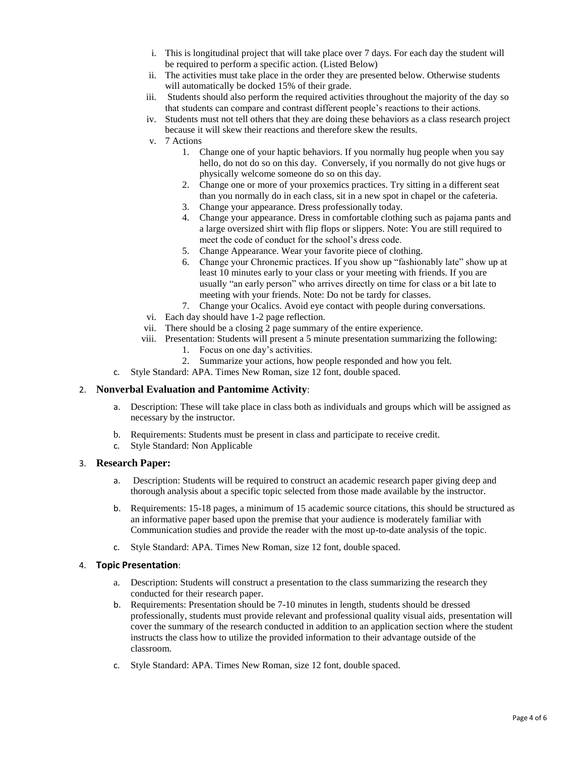- i. This is longitudinal project that will take place over 7 days. For each day the student will be required to perform a specific action. (Listed Below)
- ii. The activities must take place in the order they are presented below. Otherwise students will automatically be docked 15% of their grade.
- iii. Students should also perform the required activities throughout the majority of the day so that students can compare and contrast different people's reactions to their actions.
- iv. Students must not tell others that they are doing these behaviors as a class research project because it will skew their reactions and therefore skew the results.
- v. 7 Actions
	- 1. Change one of your haptic behaviors. If you normally hug people when you say hello, do not do so on this day. Conversely, if you normally do not give hugs or physically welcome someone do so on this day.
	- 2. Change one or more of your proxemics practices. Try sitting in a different seat than you normally do in each class, sit in a new spot in chapel or the cafeteria.
	- 3. Change your appearance. Dress professionally today.
	- 4. Change your appearance. Dress in comfortable clothing such as pajama pants and a large oversized shirt with flip flops or slippers. Note: You are still required to meet the code of conduct for the school's dress code.
	- 5. Change Appearance. Wear your favorite piece of clothing.
	- 6. Change your Chronemic practices. If you show up "fashionably late" show up at least 10 minutes early to your class or your meeting with friends. If you are usually "an early person" who arrives directly on time for class or a bit late to meeting with your friends. Note: Do not be tardy for classes.
	- 7. Change your Ocalics. Avoid eye contact with people during conversations.
- vi. Each day should have 1-2 page reflection.
- vii. There should be a closing 2 page summary of the entire experience.
- viii. Presentation: Students will present a 5 minute presentation summarizing the following:
	- 1. Focus on one day's activities.
	- 2. Summarize your actions, how people responded and how you felt.
- c. Style Standard: APA. Times New Roman, size 12 font, double spaced.

#### 2. **Nonverbal Evaluation and Pantomime Activity**:

- a. Description: These will take place in class both as individuals and groups which will be assigned as necessary by the instructor.
- b. Requirements: Students must be present in class and participate to receive credit.
- c. Style Standard: Non Applicable

#### 3. **Research Paper:**

- a. Description: Students will be required to construct an academic research paper giving deep and thorough analysis about a specific topic selected from those made available by the instructor.
- b. Requirements: 15-18 pages, a minimum of 15 academic source citations, this should be structured as an informative paper based upon the premise that your audience is moderately familiar with Communication studies and provide the reader with the most up-to-date analysis of the topic.
- c. Style Standard: APA. Times New Roman, size 12 font, double spaced.

#### 4. **Topic Presentation**:

- a. Description: Students will construct a presentation to the class summarizing the research they conducted for their research paper.
- b. Requirements: Presentation should be 7-10 minutes in length, students should be dressed professionally, students must provide relevant and professional quality visual aids, presentation will cover the summary of the research conducted in addition to an application section where the student instructs the class how to utilize the provided information to their advantage outside of the classroom.
- c. Style Standard: APA. Times New Roman, size 12 font, double spaced.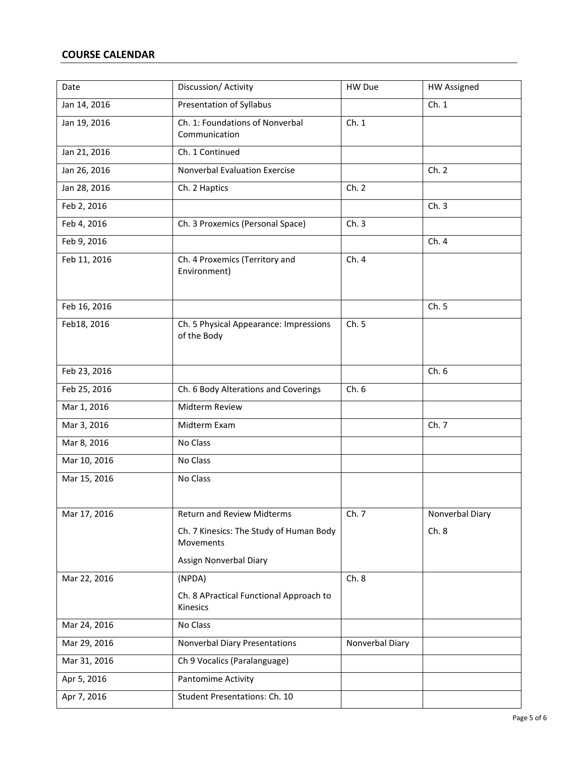# **COURSE CALENDAR**

| Date         | Discussion/ Activity                                  | HW Due          | <b>HW Assigned</b> |
|--------------|-------------------------------------------------------|-----------------|--------------------|
| Jan 14, 2016 | Presentation of Syllabus                              |                 | Ch.1               |
| Jan 19, 2016 | Ch. 1: Foundations of Nonverbal<br>Communication      | Ch. 1           |                    |
| Jan 21, 2016 | Ch. 1 Continued                                       |                 |                    |
| Jan 26, 2016 | Nonverbal Evaluation Exercise                         |                 | Ch. 2              |
| Jan 28, 2016 | Ch. 2 Haptics                                         | Ch. 2           |                    |
| Feb 2, 2016  |                                                       |                 | Ch.3               |
| Feb 4, 2016  | Ch. 3 Proxemics (Personal Space)                      | Ch.3            |                    |
| Feb 9, 2016  |                                                       |                 | Ch. 4              |
| Feb 11, 2016 | Ch. 4 Proxemics (Territory and<br>Environment)        | Ch. 4           |                    |
| Feb 16, 2016 |                                                       |                 | Ch. 5              |
| Feb18, 2016  | Ch. 5 Physical Appearance: Impressions<br>of the Body | Ch. 5           |                    |
| Feb 23, 2016 |                                                       |                 | Ch.6               |
| Feb 25, 2016 | Ch. 6 Body Alterations and Coverings                  | Ch.6            |                    |
| Mar 1, 2016  | Midterm Review                                        |                 |                    |
| Mar 3, 2016  | Midterm Exam                                          |                 | Ch. 7              |
| Mar 8, 2016  | No Class                                              |                 |                    |
| Mar 10, 2016 | No Class                                              |                 |                    |
| Mar 15, 2016 | No Class                                              |                 |                    |
| Mar 17, 2016 | <b>Return and Review Midterms</b>                     | Ch. 7           | Nonverbal Diary    |
|              | Ch. 7 Kinesics: The Study of Human Body<br>Movements  |                 | Ch.8               |
|              | Assign Nonverbal Diary                                |                 |                    |
| Mar 22, 2016 | (NPDA)                                                | Ch.8            |                    |
|              | Ch. 8 APractical Functional Approach to<br>Kinesics   |                 |                    |
| Mar 24, 2016 | No Class                                              |                 |                    |
| Mar 29, 2016 | Nonverbal Diary Presentations                         | Nonverbal Diary |                    |
| Mar 31, 2016 | Ch 9 Vocalics (Paralanguage)                          |                 |                    |
| Apr 5, 2016  | Pantomime Activity                                    |                 |                    |
| Apr 7, 2016  | Student Presentations: Ch. 10                         |                 |                    |